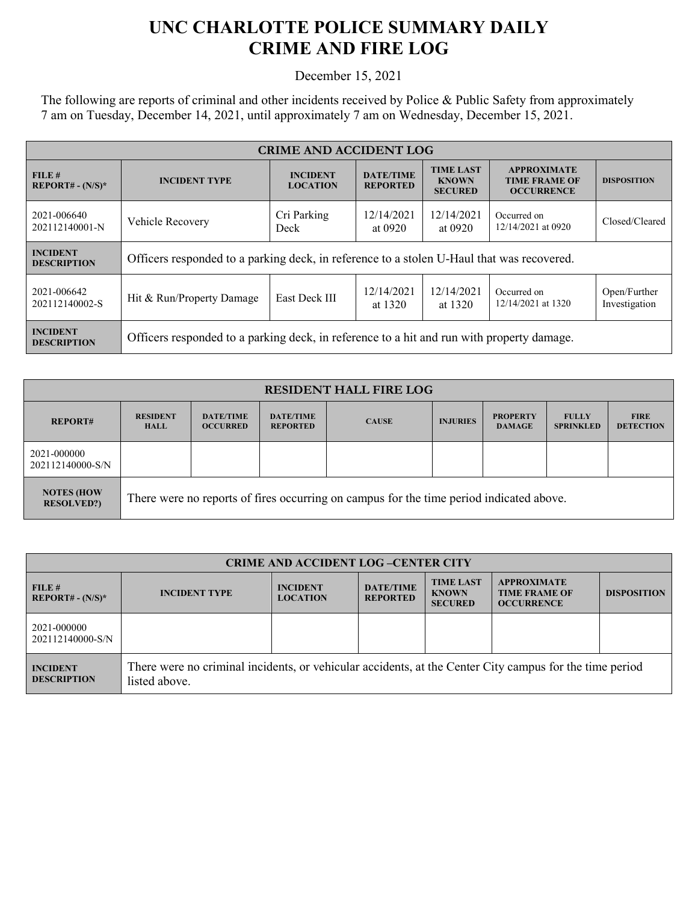## **UNC CHARLOTTE POLICE SUMMARY DAILY CRIME AND FIRE LOG**

December 15, 2021

The following are reports of criminal and other incidents received by Police & Public Safety from approximately 7 am on Tuesday, December 14, 2021, until approximately 7 am on Wednesday, December 15, 2021.

| <b>CRIME AND ACCIDENT LOG</b>         |                                                                                                                                                         |                     |                                                                 |                       |                                   |                               |
|---------------------------------------|---------------------------------------------------------------------------------------------------------------------------------------------------------|---------------------|-----------------------------------------------------------------|-----------------------|-----------------------------------|-------------------------------|
| FILE#<br>$REPORT# - (N/S)*$           | <b>TIME LAST</b><br><b>DATE/TIME</b><br><b>INCIDENT</b><br><b>INCIDENT TYPE</b><br><b>KNOWN</b><br><b>LOCATION</b><br><b>REPORTED</b><br><b>SECURED</b> |                     | <b>APPROXIMATE</b><br><b>TIME FRAME OF</b><br><b>OCCURRENCE</b> | <b>DISPOSITION</b>    |                                   |                               |
| 2021-006640<br>202112140001-N         | Vehicle Recovery                                                                                                                                        | Cri Parking<br>Deck | 12/14/2021<br>at 0920                                           | 12/14/2021<br>at 0920 | Occurred on<br>12/14/2021 at 0920 | Closed/Cleared                |
| <b>INCIDENT</b><br><b>DESCRIPTION</b> | Officers responded to a parking deck, in reference to a stolen U-Haul that was recovered.                                                               |                     |                                                                 |                       |                                   |                               |
| 2021-006642<br>202112140002-S         | Hit & Run/Property Damage                                                                                                                               | East Deck III       | 12/14/2021<br>at 1320                                           | 12/14/2021<br>at 1320 | Occurred on<br>12/14/2021 at 1320 | Open/Further<br>Investigation |
| <b>INCIDENT</b><br><b>DESCRIPTION</b> | Officers responded to a parking deck, in reference to a hit and run with property damage.                                                               |                     |                                                                 |                       |                                   |                               |

| <b>RESIDENT HALL FIRE LOG</b>          |                                                                                         |                                     |                                     |              |                 |                                  |                                  |                                 |
|----------------------------------------|-----------------------------------------------------------------------------------------|-------------------------------------|-------------------------------------|--------------|-----------------|----------------------------------|----------------------------------|---------------------------------|
| <b>REPORT#</b>                         | <b>RESIDENT</b><br><b>HALL</b>                                                          | <b>DATE/TIME</b><br><b>OCCURRED</b> | <b>DATE/TIME</b><br><b>REPORTED</b> | <b>CAUSE</b> | <b>INJURIES</b> | <b>PROPERTY</b><br><b>DAMAGE</b> | <b>FULLY</b><br><b>SPRINKLED</b> | <b>FIRE</b><br><b>DETECTION</b> |
| 2021-000000<br>202112140000-S/N        |                                                                                         |                                     |                                     |              |                 |                                  |                                  |                                 |
| <b>NOTES (HOW</b><br><b>RESOLVED?)</b> | There were no reports of fires occurring on campus for the time period indicated above. |                                     |                                     |              |                 |                                  |                                  |                                 |

| <b>CRIME AND ACCIDENT LOG-CENTER CITY</b> |                                                                                                                          |                                    |                                     |                                                    |                                                                 |                    |
|-------------------------------------------|--------------------------------------------------------------------------------------------------------------------------|------------------------------------|-------------------------------------|----------------------------------------------------|-----------------------------------------------------------------|--------------------|
| FILE#<br>$REPORT# - (N/S)*$               | <b>INCIDENT TYPE</b>                                                                                                     | <b>INCIDENT</b><br><b>LOCATION</b> | <b>DATE/TIME</b><br><b>REPORTED</b> | <b>TIME LAST</b><br><b>KNOWN</b><br><b>SECURED</b> | <b>APPROXIMATE</b><br><b>TIME FRAME OF</b><br><b>OCCURRENCE</b> | <b>DISPOSITION</b> |
| 2021-000000<br>202112140000-S/N           |                                                                                                                          |                                    |                                     |                                                    |                                                                 |                    |
| <b>INCIDENT</b><br><b>DESCRIPTION</b>     | There were no criminal incidents, or vehicular accidents, at the Center City campus for the time period<br>listed above. |                                    |                                     |                                                    |                                                                 |                    |